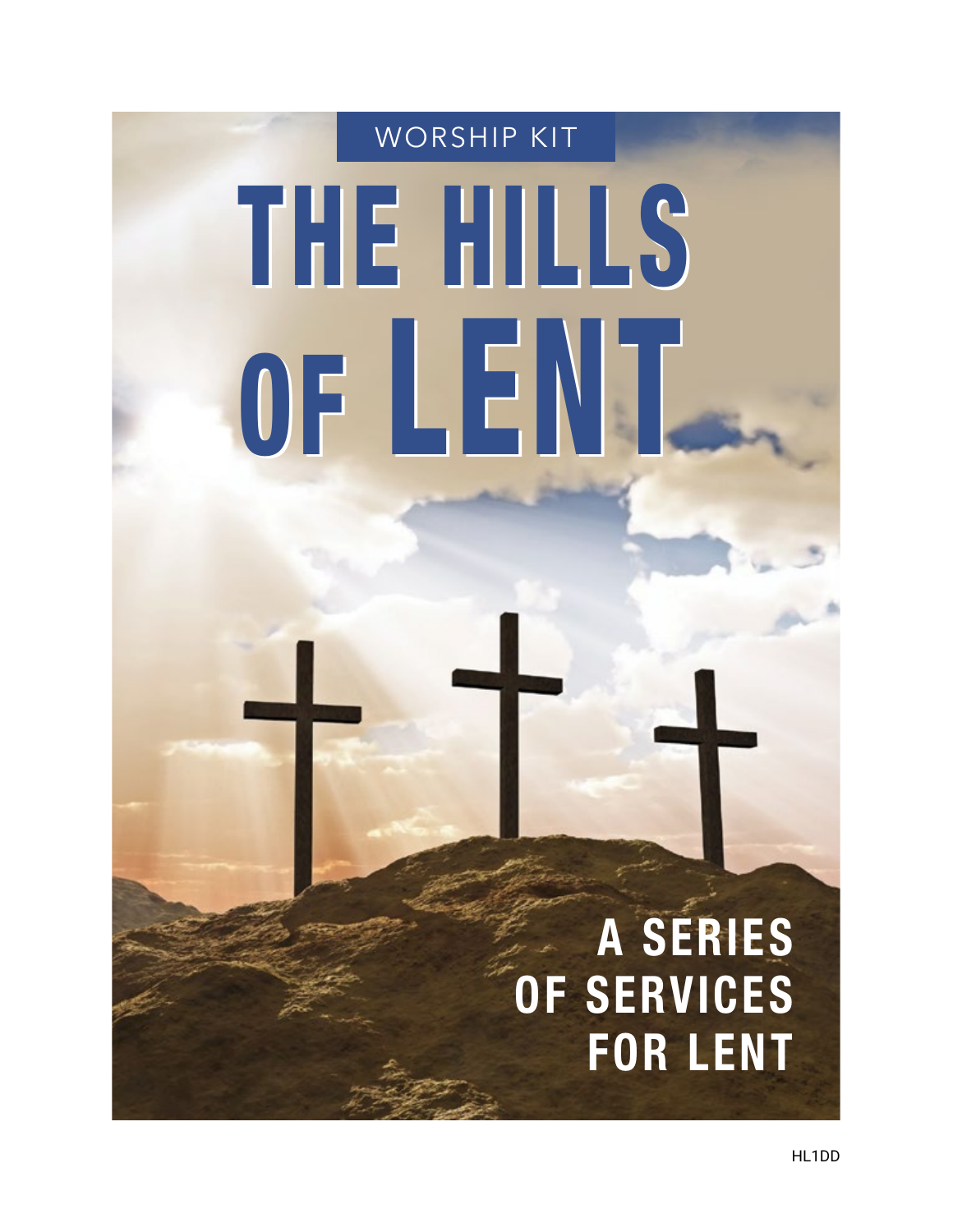# WORSHIP KIT THE HILLS THE HILLS OF LENT OF LENT

## A SERIES OF SERVICES FOR LENT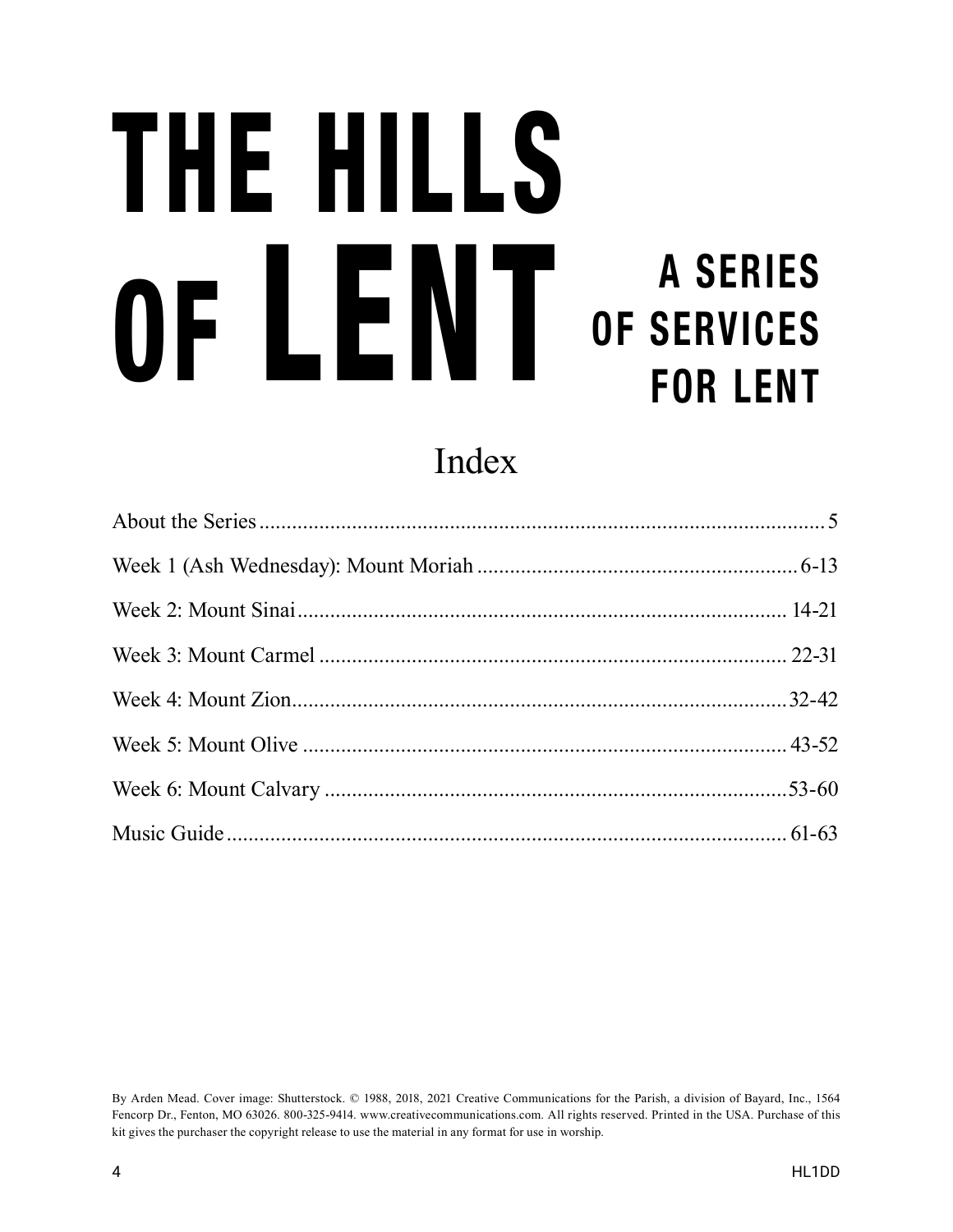# A SERIES OF SERVICES FOR LENT THE HILLS OF LENT

### Index

By Arden Mead. Cover image: Shutterstock. © 1988, 2018, 2021 Creative Communications for the Parish, a division of Bayard, Inc., 1564 Fencorp Dr., Fenton, MO 63026. 800-325-9414. www.creativecommunications.com. All rights reserved. Printed in the USA. Purchase of this kit gives the purchaser the copyright release to use the material in any format for use in worship.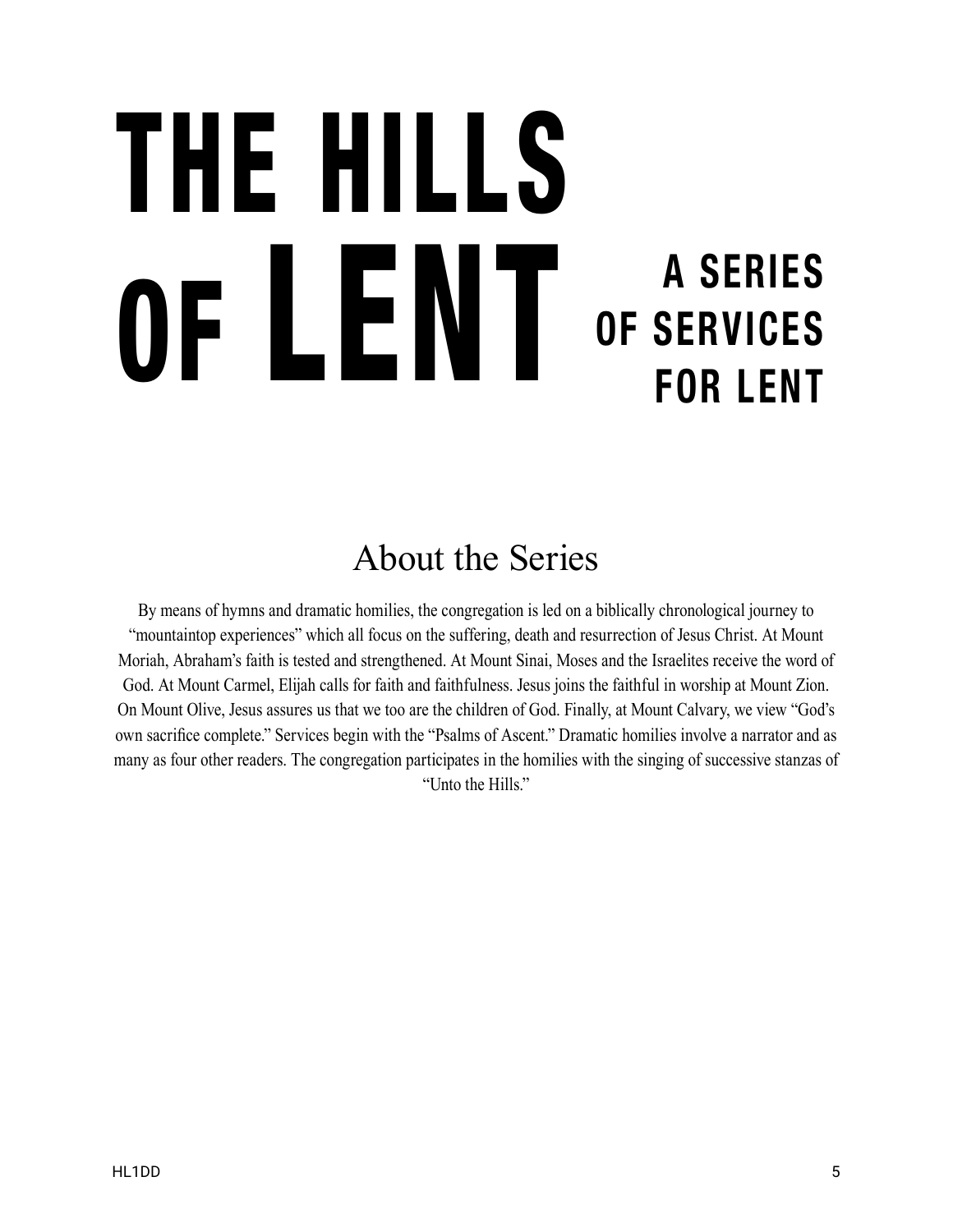# A SERIES OF SERVICES FOR LENT THE HILLS OF LENT

### About the Series

By means of hymns and dramatic homilies, the congregation is led on a biblically chronological journey to "mountaintop experiences" which all focus on the suffering, death and resurrection of Jesus Christ. At Mount Moriah, Abraham's faith is tested and strengthened. At Mount Sinai, Moses and the Israelites receive the word of God. At Mount Carmel, Elijah calls for faith and faithfulness. Jesus joins the faithful in worship at Mount Zion. On Mount Olive, Jesus assures us that we too are the children of God. Finally, at Mount Calvary, we view "God's own sacrifice complete." Services begin with the "Psalms of Ascent." Dramatic homilies involve a narrator and as many as four other readers. The congregation participates in the homilies with the singing of successive stanzas of "Unto the Hills."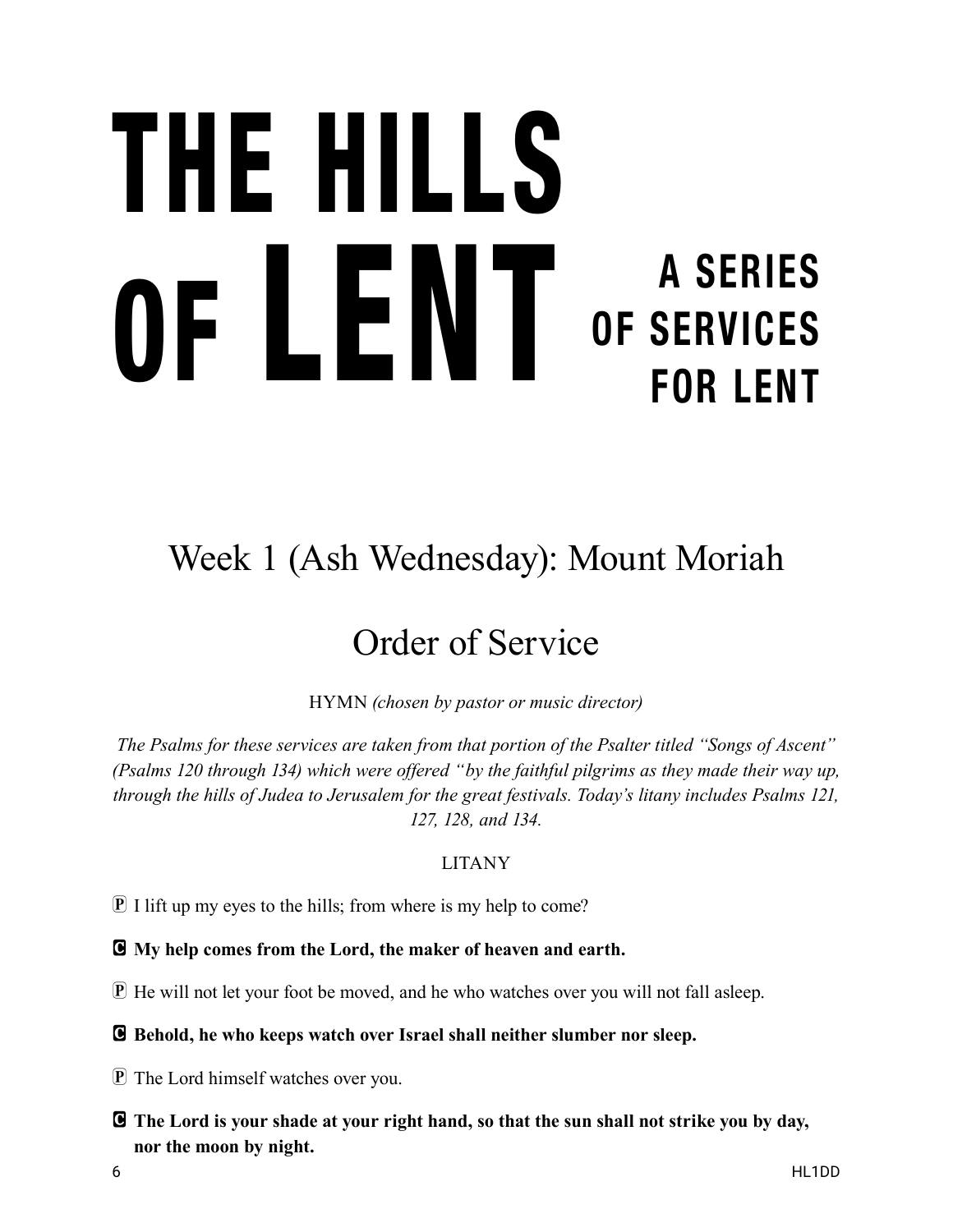# A SERIES OF SERVICES FOR LENT THE HILLS OF LENT

### Week 1 (Ash Wednesday): Mount Moriah

### Order of Service

HYMN *(chosen by pastor or music director)*

*The Psalms for these services are taken from that portion of the Psalter titled "Songs of Ascent" (Psalms 120 through 134) which were offered "by the faithful pilgrims as they made their way up, through the hills of Judea to Jerusalem for the great festivals. Today's litany includes Psalms 121, 127, 128, and 134.* 

#### LITANY

P I lift up my eyes to the hills; from where is my help to come?

#### C **My help comes from the Lord, the maker of heaven and earth.**

P He will not let your foot be moved, and he who watches over you will not fall asleep.

C **Behold, he who keeps watch over Israel shall neither slumber nor sleep.** 

P The Lord himself watches over you.

C **The Lord is your shade at your right hand, so that the sun shall not strike you by day, nor the moon by night.**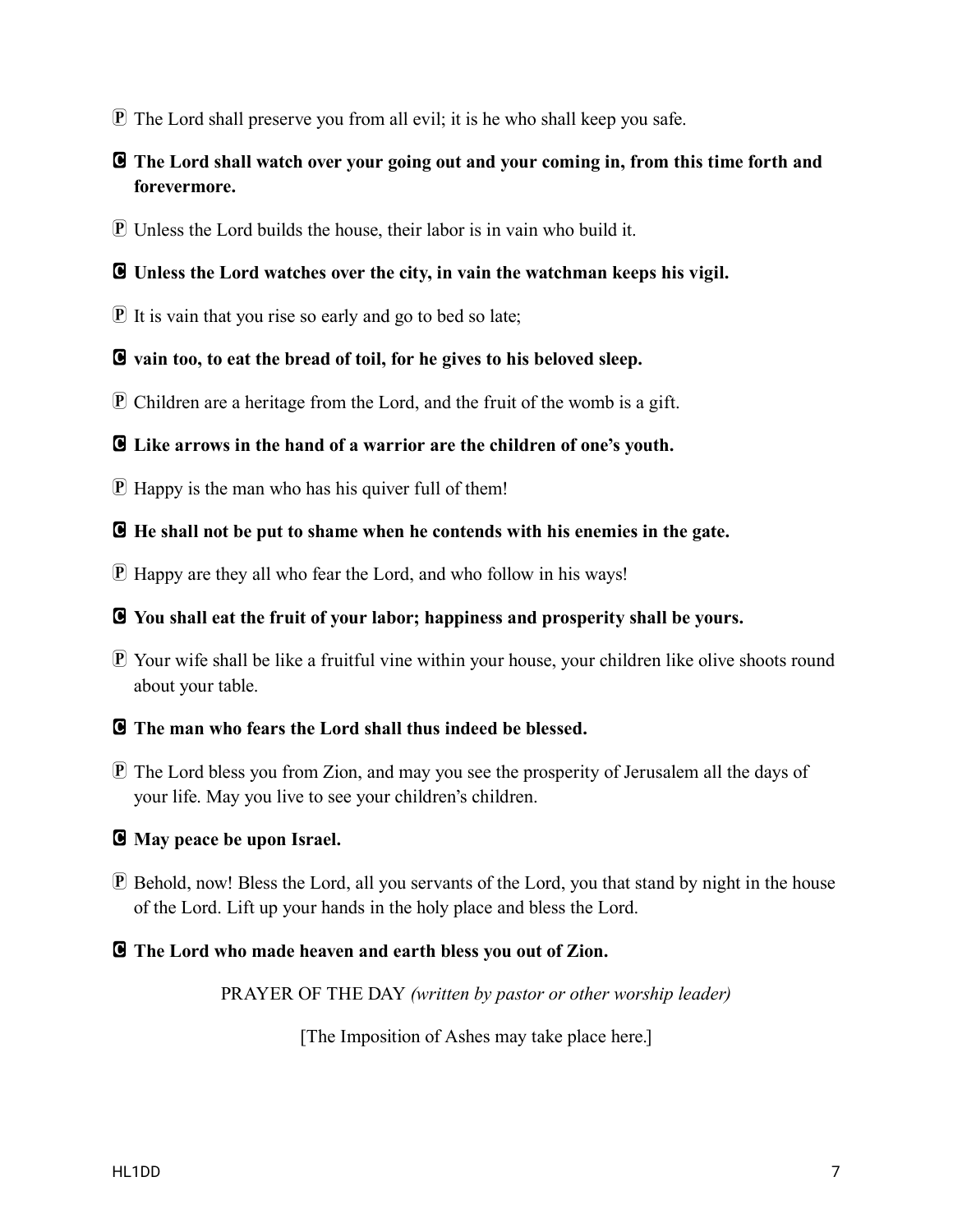P The Lord shall preserve you from all evil; it is he who shall keep you safe.

#### C **The Lord shall watch over your going out and your coming in, from this time forth and forevermore.**

P Unless the Lord builds the house, their labor is in vain who build it.

#### C **Unless the Lord watches over the city, in vain the watchman keeps his vigil.**

P It is vain that you rise so early and go to bed so late;

#### C **vain too, to eat the bread of toil, for he gives to his beloved sleep.**

P Children are a heritage from the Lord, and the fruit of the womb is a gift.

#### C **Like arrows in the hand of a warrior are the children of one's youth.**

P Happy is the man who has his quiver full of them!

#### C **He shall not be put to shame when he contends with his enemies in the gate.**

P Happy are they all who fear the Lord, and who follow in his ways!

#### C **You shall eat the fruit of your labor; happiness and prosperity shall be yours.**

P Your wife shall be like a fruitful vine within your house, your children like olive shoots round about your table.

#### C **The man who fears the Lord shall thus indeed be blessed.**

P The Lord bless you from Zion, and may you see the prosperity of Jerusalem all the days of your life. May you live to see your children's children.

#### C **May peace be upon Israel.**

P Behold, now! Bless the Lord, all you servants of the Lord, you that stand by night in the house of the Lord. Lift up your hands in the holy place and bless the Lord.

#### C **The Lord who made heaven and earth bless you out of Zion.**

PRAYER OF THE DAY *(written by pastor or other worship leader)*

[The Imposition of Ashes may take place here.]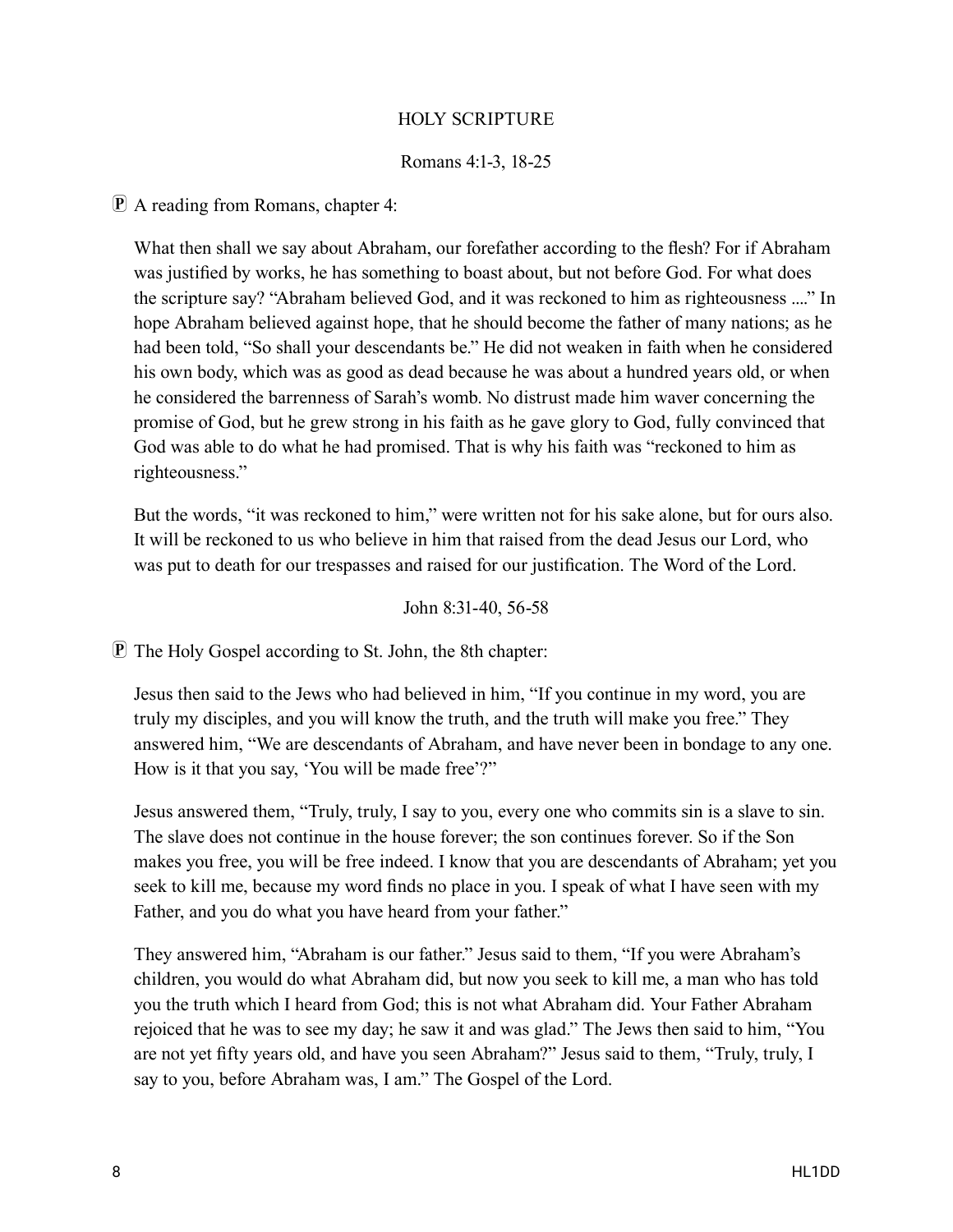#### HOLY SCRIPTURE

#### Romans 4:1-3, 18-25

P A reading from Romans, chapter 4:

What then shall we say about Abraham, our forefather according to the flesh? For if Abraham was justified by works, he has something to boast about, but not before God. For what does the scripture say? "Abraham believed God, and it was reckoned to him as righteousness ...." In hope Abraham believed against hope, that he should become the father of many nations; as he had been told, "So shall your descendants be." He did not weaken in faith when he considered his own body, which was as good as dead because he was about a hundred years old, or when he considered the barrenness of Sarah's womb. No distrust made him waver concerning the promise of God, but he grew strong in his faith as he gave glory to God, fully convinced that God was able to do what he had promised. That is why his faith was "reckoned to him as righteousness."

But the words, "it was reckoned to him," were written not for his sake alone, but for ours also. It will be reckoned to us who believe in him that raised from the dead Jesus our Lord, who was put to death for our trespasses and raised for our justification. The Word of the Lord.

#### John 8:31-40, 56-58

P The Holy Gospel according to St. John, the 8th chapter:

Jesus then said to the Jews who had believed in him, "If you continue in my word, you are truly my disciples, and you will know the truth, and the truth will make you free." They answered him, "We are descendants of Abraham, and have never been in bondage to any one. How is it that you say, 'You will be made free'?"

Jesus answered them, "Truly, truly, I say to you, every one who commits sin is a slave to sin. The slave does not continue in the house forever; the son continues forever. So if the Son makes you free, you will be free indeed. I know that you are descendants of Abraham; yet you seek to kill me, because my word finds no place in you. I speak of what I have seen with my Father, and you do what you have heard from your father."

They answered him, "Abraham is our father." Jesus said to them, "If you were Abraham's children, you would do what Abraham did, but now you seek to kill me, a man who has told you the truth which I heard from God; this is not what Abraham did. Your Father Abraham rejoiced that he was to see my day; he saw it and was glad." The Jews then said to him, "You are not yet fifty years old, and have you seen Abraham?" Jesus said to them, "Truly, truly, I say to you, before Abraham was, I am." The Gospel of the Lord.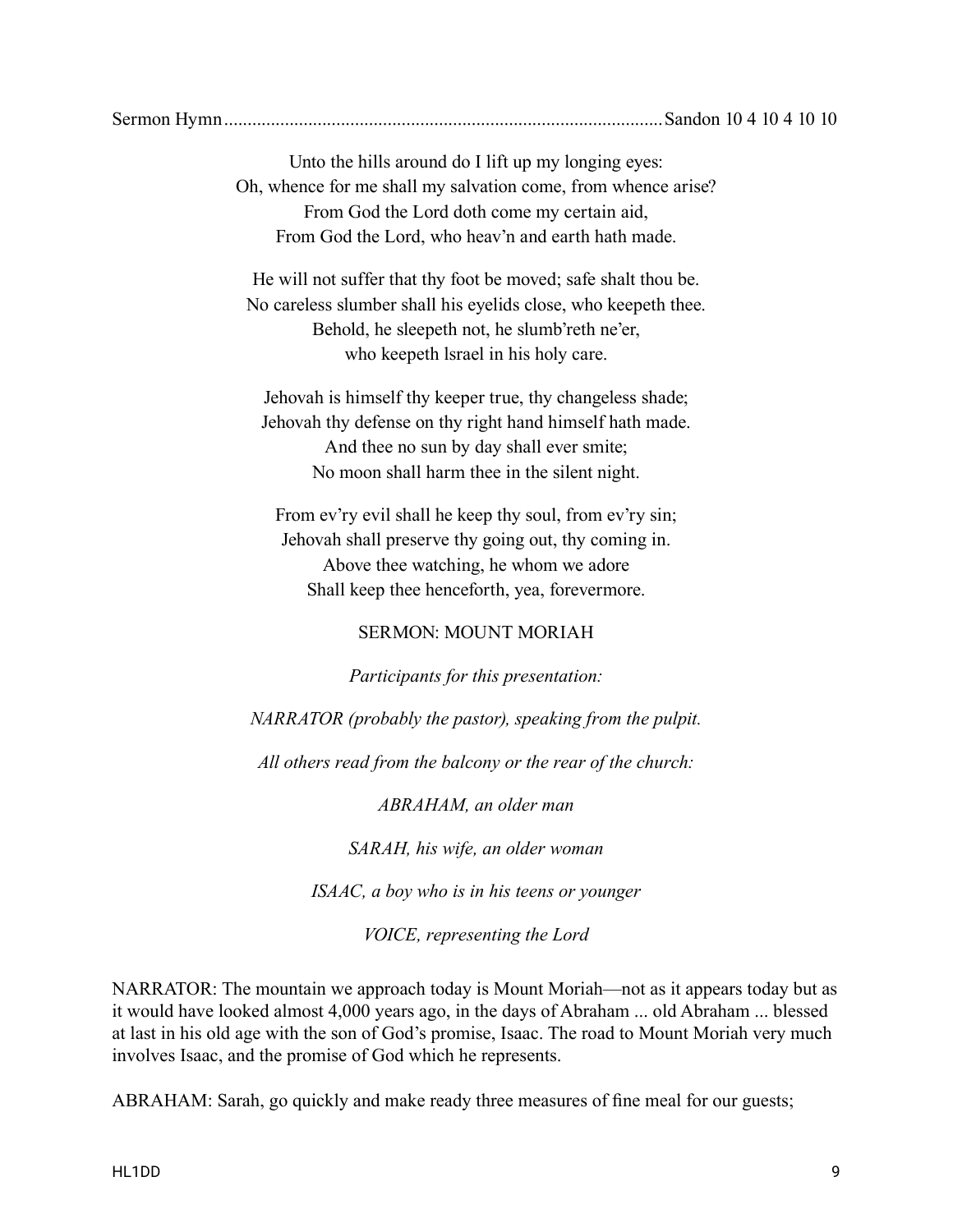Sermon Hymn..............................................................................................Sandon 10 4 10 4 10 10

Unto the hills around do I lift up my longing eyes: Oh, whence for me shall my salvation come, from whence arise? From God the Lord doth come my certain aid, From God the Lord, who heav'n and earth hath made.

He will not suffer that thy foot be moved; safe shalt thou be. No careless slumber shall his eyelids close, who keepeth thee. Behold, he sleepeth not, he slumb'reth ne'er, who keepeth lsrael in his holy care.

Jehovah is himself thy keeper true, thy changeless shade; Jehovah thy defense on thy right hand himself hath made. And thee no sun by day shall ever smite; No moon shall harm thee in the silent night.

From ev'ry evil shall he keep thy soul, from ev'ry sin; Jehovah shall preserve thy going out, thy coming in. Above thee watching, he whom we adore Shall keep thee henceforth, yea, forevermore.

#### SERMON: MOUNT MORIAH

*Participants for this presentation:* 

*NARRATOR (probably the pastor), speaking from the pulpit.* 

*All others read from the balcony or the rear of the church:* 

*ABRAHAM, an older man* 

*SARAH, his wife, an older woman* 

*ISAAC, a boy who is in his teens or younger* 

*VOICE, representing the Lord*

NARRATOR: The mountain we approach today is Mount Moriah—not as it appears today but as it would have looked almost 4,000 years ago, in the days of Abraham ... old Abraham ... blessed at last in his old age with the son of God's promise, Isaac. The road to Mount Moriah very much involves Isaac, and the promise of God which he represents.

ABRAHAM: Sarah, go quickly and make ready three measures of fine meal for our guests;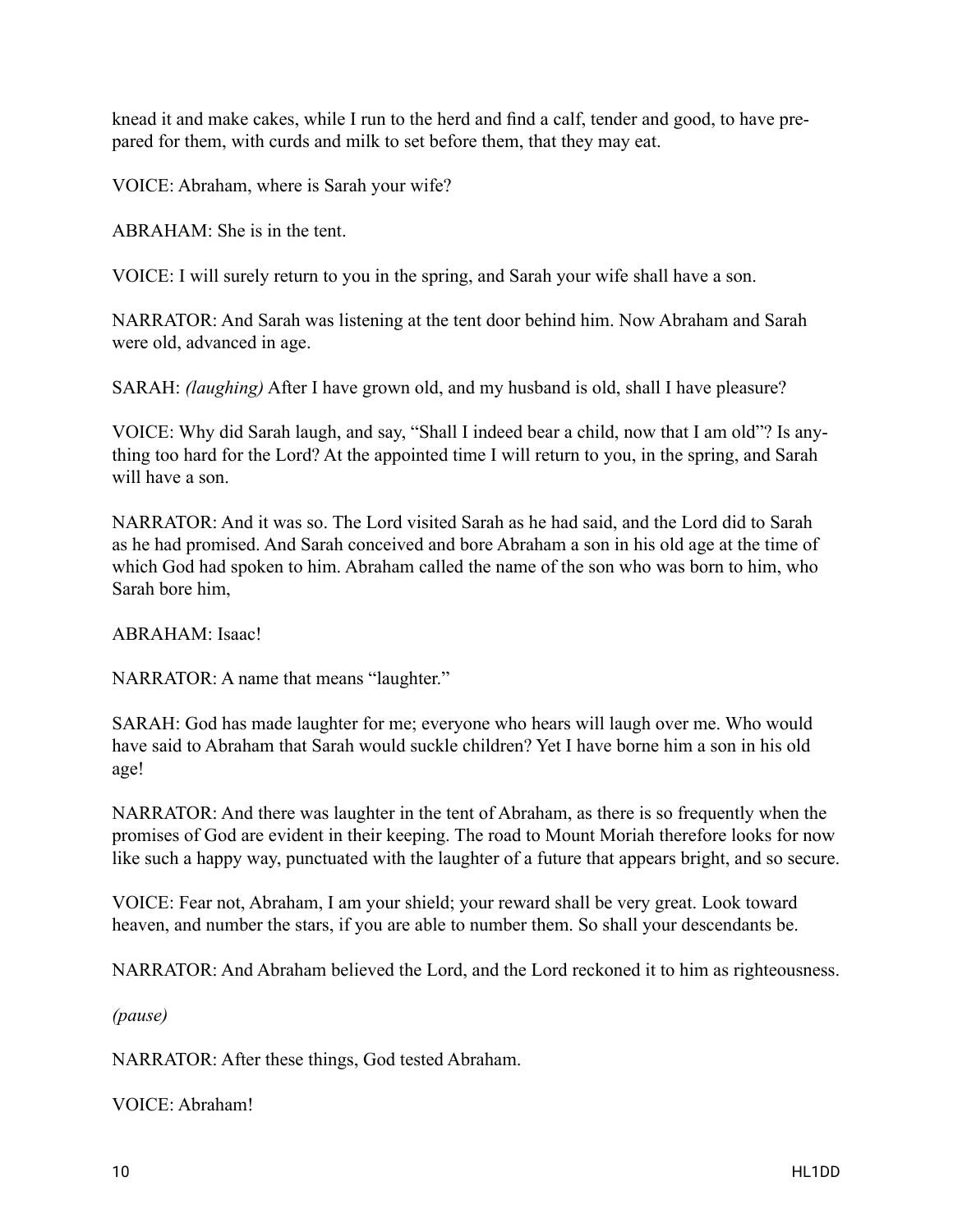knead it and make cakes, while I run to the herd and find a calf, tender and good, to have prepared for them, with curds and milk to set before them, that they may eat.

VOICE: Abraham, where is Sarah your wife?

ABRAHAM: She is in the tent.

VOICE: I will surely return to you in the spring, and Sarah your wife shall have a son.

NARRATOR: And Sarah was listening at the tent door behind him. Now Abraham and Sarah were old, advanced in age.

SARAH: *(laughing)* After I have grown old, and my husband is old, shall I have pleasure?

VOICE: Why did Sarah laugh, and say, "Shall I indeed bear a child, now that I am old"? Is anything too hard for the Lord? At the appointed time I will return to you, in the spring, and Sarah will have a son.

NARRATOR: And it was so. The Lord visited Sarah as he had said, and the Lord did to Sarah as he had promised. And Sarah conceived and bore Abraham a son in his old age at the time of which God had spoken to him. Abraham called the name of the son who was born to him, who Sarah bore him,

ABRAHAM: Isaac!

NARRATOR: A name that means "laughter."

SARAH: God has made laughter for me; everyone who hears will laugh over me. Who would have said to Abraham that Sarah would suckle children? Yet I have borne him a son in his old age!

NARRATOR: And there was laughter in the tent of Abraham, as there is so frequently when the promises of God are evident in their keeping. The road to Mount Moriah therefore looks for now like such a happy way, punctuated with the laughter of a future that appears bright, and so secure.

VOICE: Fear not, Abraham, I am your shield; your reward shall be very great. Look toward heaven, and number the stars, if you are able to number them. So shall your descendants be.

NARRATOR: And Abraham believed the Lord, and the Lord reckoned it to him as righteousness.

*(pause)*

NARRATOR: After these things, God tested Abraham.

VOICE: Abraham!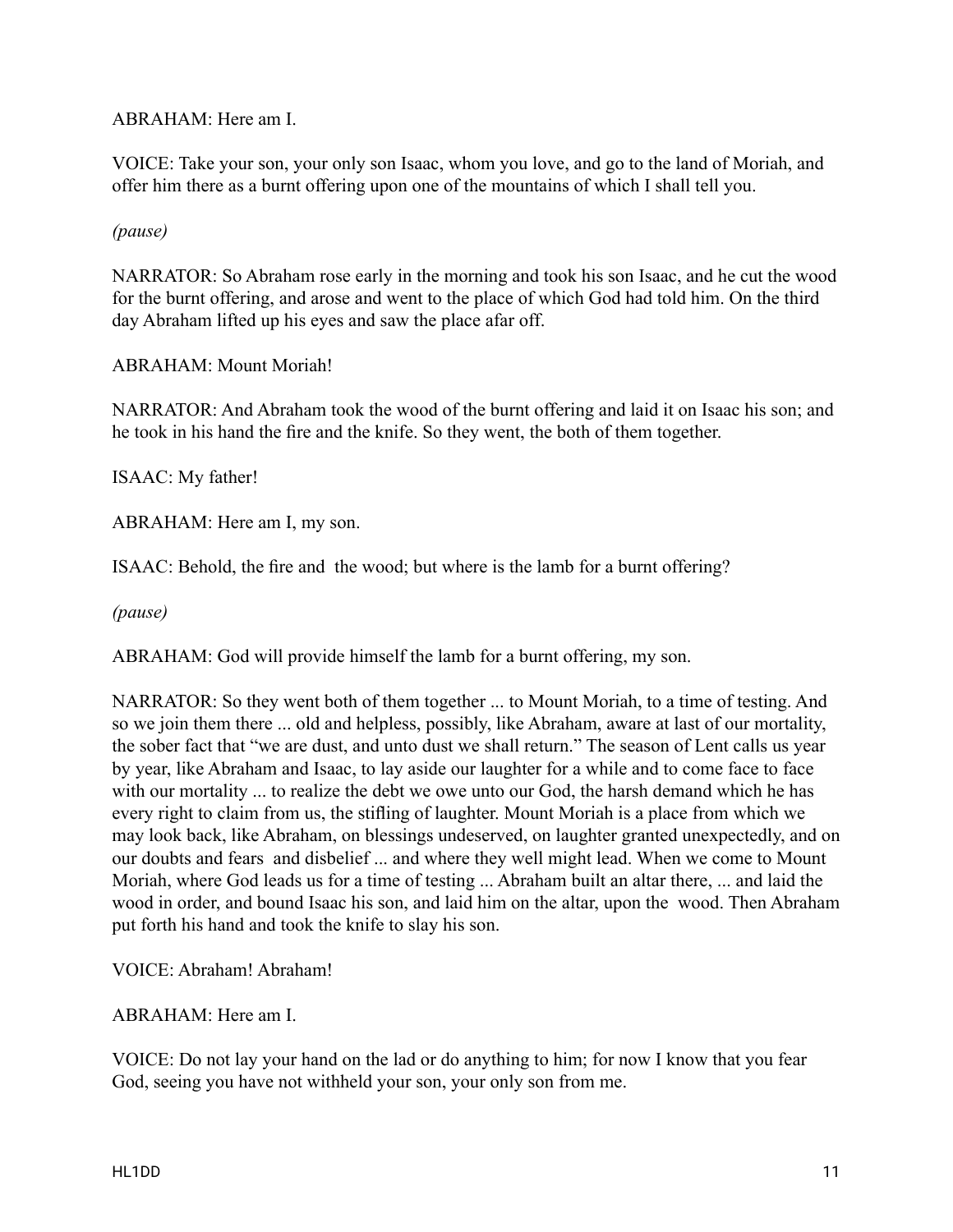ABRAHAM: Here am I.

VOICE: Take your son, your only son Isaac, whom you love, and go to the land of Moriah, and offer him there as a burnt offering upon one of the mountains of which I shall tell you.

#### *(pause)*

NARRATOR: So Abraham rose early in the morning and took his son Isaac, and he cut the wood for the burnt offering, and arose and went to the place of which God had told him. On the third day Abraham lifted up his eyes and saw the place afar off.

#### ABRAHAM: Mount Moriah!

NARRATOR: And Abraham took the wood of the burnt offering and laid it on Isaac his son; and he took in his hand the fire and the knife. So they went, the both of them together.

ISAAC: My father!

ABRAHAM: Here am I, my son.

ISAAC: Behold, the fire and the wood; but where is the lamb for a burnt offering?

*(pause)* 

ABRAHAM: God will provide himself the lamb for a burnt offering, my son.

NARRATOR: So they went both of them together ... to Mount Moriah, to a time of testing. And so we join them there ... old and helpless, possibly, like Abraham, aware at last of our mortality, the sober fact that "we are dust, and unto dust we shall return." The season of Lent calls us year by year, like Abraham and Isaac, to lay aside our laughter for a while and to come face to face with our mortality ... to realize the debt we owe unto our God, the harsh demand which he has every right to claim from us, the stifling of laughter. Mount Moriah is a place from which we may look back, like Abraham, on blessings undeserved, on laughter granted unexpectedly, and on our doubts and fears and disbelief ... and where they well might lead. When we come to Mount Moriah, where God leads us for a time of testing ... Abraham built an altar there, ... and laid the wood in order, and bound Isaac his son, and laid him on the altar, upon the wood. Then Abraham put forth his hand and took the knife to slay his son.

VOICE: Abraham! Abraham!

ABRAHAM: Here am I.

VOICE: Do not lay your hand on the lad or do anything to him; for now I know that you fear God, seeing you have not withheld your son, your only son from me.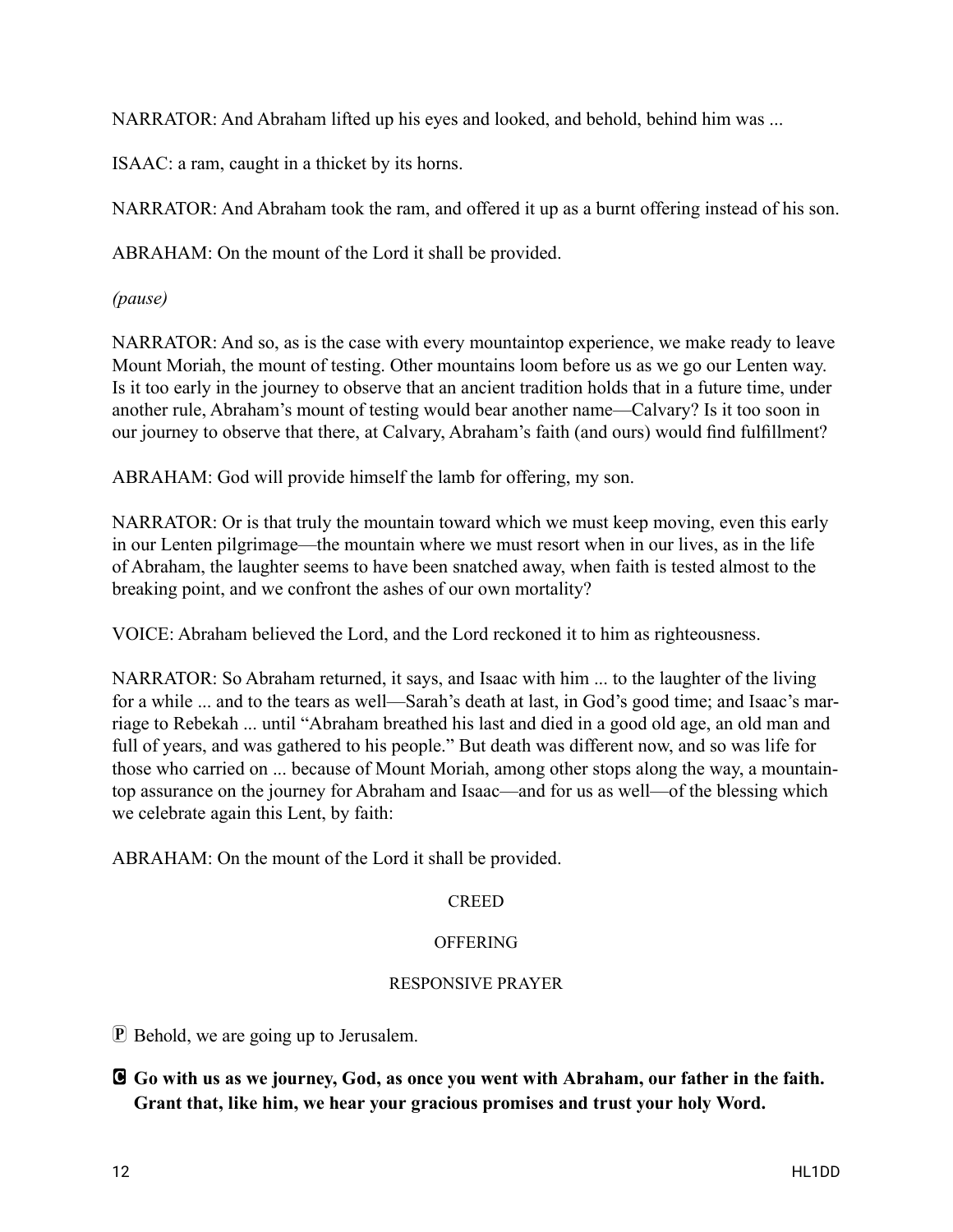NARRATOR: And Abraham lifted up his eyes and looked, and behold, behind him was ...

ISAAC: a ram, caught in a thicket by its horns.

NARRATOR: And Abraham took the ram, and offered it up as a burnt offering instead of his son.

ABRAHAM: On the mount of the Lord it shall be provided.

*(pause)*

NARRATOR: And so, as is the case with every mountaintop experience, we make ready to leave Mount Moriah, the mount of testing. Other mountains loom before us as we go our Lenten way. Is it too early in the journey to observe that an ancient tradition holds that in a future time, under another rule, Abraham's mount of testing would bear another name—Calvary? Is it too soon in our journey to observe that there, at Calvary, Abraham's faith (and ours) would find fulfillment?

ABRAHAM: God will provide himself the lamb for offering, my son.

NARRATOR: Or is that truly the mountain toward which we must keep moving, even this early in our Lenten pilgrimage—the mountain where we must resort when in our lives, as in the life of Abraham, the laughter seems to have been snatched away, when faith is tested almost to the breaking point, and we confront the ashes of our own mortality?

VOICE: Abraham believed the Lord, and the Lord reckoned it to him as righteousness.

NARRATOR: So Abraham returned, it says, and Isaac with him ... to the laughter of the living for a while ... and to the tears as well—Sarah's death at last, in God's good time; and Isaac's marriage to Rebekah ... until "Abraham breathed his last and died in a good old age, an old man and full of years, and was gathered to his people." But death was different now, and so was life for those who carried on ... because of Mount Moriah, among other stops along the way, a mountaintop assurance on the journey for Abraham and Isaac—and for us as well—of the blessing which we celebrate again this Lent, by faith:

ABRAHAM: On the mount of the Lord it shall be provided.

#### **CREED**

#### **OFFERING**

#### RESPONSIVE PRAYER

P Behold, we are going up to Jerusalem.

C **Go with us as we journey, God, as once you went with Abraham, our father in the faith. Grant that, like him, we hear your gracious promises and trust your holy Word.**